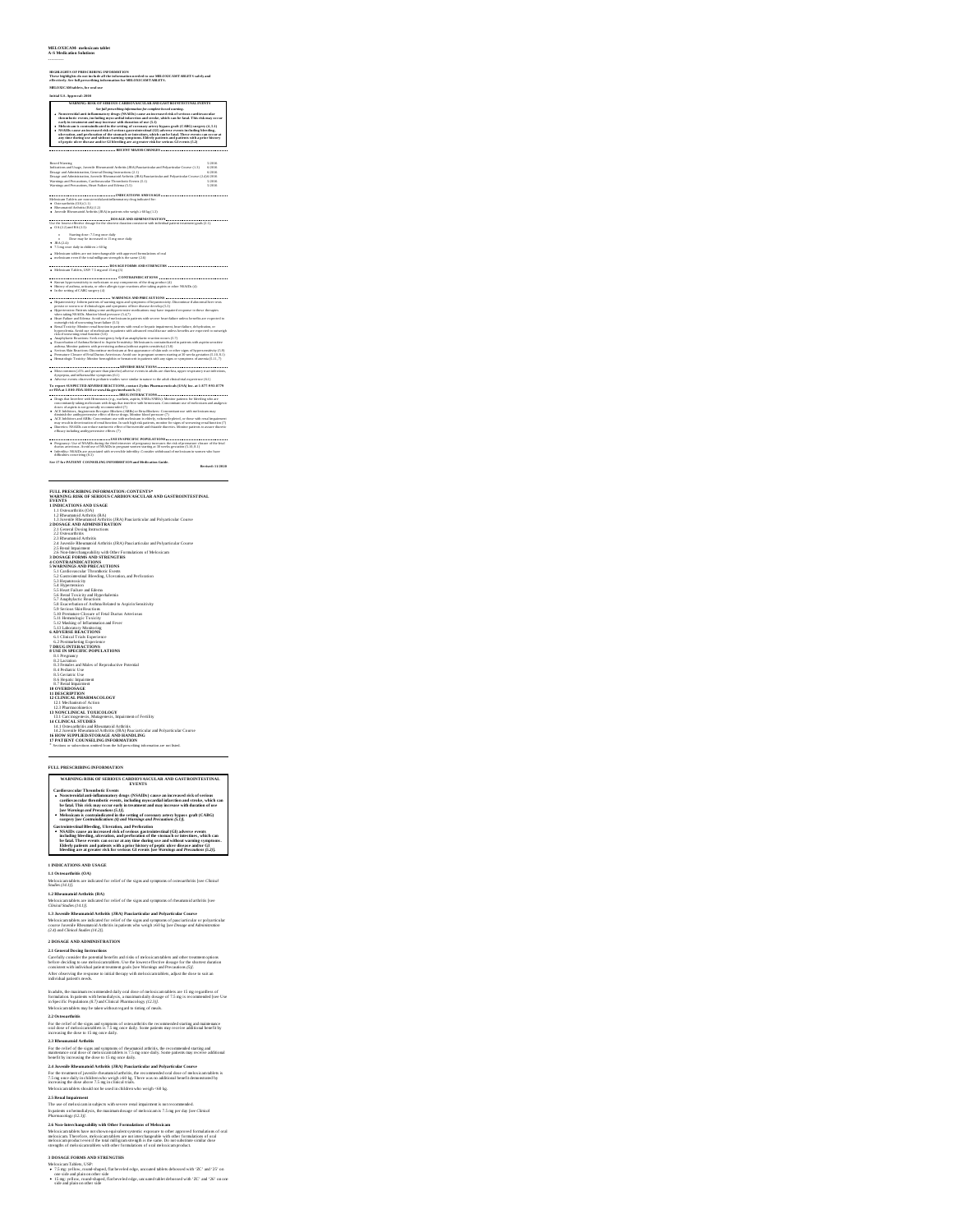## **MELOXICAM- meloxicam tablet A-S Medication Solutions**

## ----------

IBGIEIGHTS OF PRISCRIBING INFORMATION<br>These highlights do not include all the information needed to use MELOXICAMTABLETS safely and<br>effectively. See full prescribing information for MELOXICAM TABLETS.

## **MELOXICAMtablets, for oral use**

**Initial U.S. Approval: 2000** WasterNet as the system of a state of the system of the system of the system of the system of the system of the system of the system of the system of the system of the system of the system of the system of the system of t

Basel Warning<br>Rand Warning May, Jovenile Ribeamanoid Arthrith (JRA) Pascianticular and Polyuricular Caures (1.3) 562016<br>Disagge and Administration, Jovenile Ribeamanial Architin (JRA) Pascianticular and Polyariticular Cour

**INDICATIONS AND USAGE Meloxical Meloxical AND AND AND USAGE Medications are non-steroidal anti-inflammatory drug indicated for:<br>Meloxicam Tablets are non-steroidal anti-inflammatory drug indicated for:** 

Osteoarthritis (OA) (1.1) Rheumatoid Arthritis (RA) (1.2)

**A** such the mass of studies  $(D(0,0))$  gauge that we have  $D(0,1)$ <br> $D(0,0)$  and  $D(0,0)$  and  $D(0,0)$  and  $D(0,0)$  and  $D(0,0)$  and  $D(0,0)$  and  $D(0,0)$  and  $D(0,0)$  and  $D(0,0)$  and  $D(0,0)$  and  $D(0,0)$  and  $D(0,0)$  and

## **CONTRAINDICATIONS** Known hypersensitivity to meloxicam or any components of the drug product (4) History of asthma, urticaria, or other allergic-type reactions after taking aspirin or other NSAIDs (4) In the setting ofCABG surgery (4)

econ concernent control control and the MARNINGS ARD PRIES AUTITONS on concernent control and the translation o<br>His patients devices on a Cellulach igns and symptoms of Brend Barnica Comparation of Honorand Bust texts.<br>His

antwickly shake oments against that (5.5)<br>The proposition of the state of the state of the state of the state of the state of the state of the projection,<br>Approximate developed the state of the state of the state of the st

Premature Closure of Fetal Ductus Arteriosus: Avoid use in pregnant women starting at30 weeks gestation (5.10, 8.1) **ADVERSE REACTIONS** Most common (≥5% andgreater than placebo) adverse events in adults are diarrhea, upper respiratory tract infections, dyspepsia, and influenza-like symptoms (6.1) Adverse events observed in pediatric studies were similar in nature to the adult clinical trial experience (6.1) **To report SUSPECTED ADVERSE REACTIONS, contact Zydus Pharmaceuticals (USA) Inc. at 1-877-993-8779 or FDA at 1-800-FDA-1088 or www.fda.gov/medwatch.** (6) **DRUG INTERACTIONS** Drugs that Interfere with Hemostasis (e.g., warfarin, aspirin, SSRIs/SNRIs): Monitor patients for bleeding who are concomitantly taking meloxicam with drugs that interfere with hemostasis. Concomitant use of meloxicam and analgesic doses of aspirin is not generally recommended (7) ACE Inhibitors, Angiotensin Receptor Blockers (ARBs) or Beta-Blockers: Concomitant use with meloxicam may diminish the antihypertensive effect of these drugs. Monitor blood pressure (7) ACE Inhibitors and ARBs: Concomitant use with meloxicam in elderly, volumedepleted, or those with renal impairment may result in deterioration of renal function. In such high risk patients, monitor for signs of worsening renal function (7) Diuretics: NSAIDs can reduce natriuretic effect of furosemide and thiazide diuretics. Monitor patients to assure diuretic efficacy including antihypertensive effects (7) **USE IN SPECIFIC POPULATIONS** Pregnancy: Use of NSAIDs during the third trimester of pregnancy increases the risk of premature closure of the fetal ductus arteriosus. Avoid use of NSAIDs in pregnant women starting at30 weeks gestation (5.10, 8.1) Infertility: NSAIDs are associated with reversible infertility. Consider withdrawal of meloxicam in women who have difficulties conceiving (8.3) **See 17 for PATIENT COUNSELING INFORMATION and Medication Guide.**

**Revised: 11/2020**

**FULL MESCURENCE OF VORMING CARDINAL TRANSPORTER (FIGURE 1)**<br> **EVALUATION CONSULTS AND CARDINAL CARDINAL CARDINAL CARDINAL CARDINAL CARDINAL CARDINAL CARDINAL CARDINAL CONSULTS IN (FIGURE 1)**<br> **CONSULTS AND CARD CARDINAL** 

6. Clouded Trains (Section 2018)<br>
The Data of Trains (Section 2018)<br>
The Data of Trains (Section 2018)<br>
2. Clouded Trains (Section 2018)<br>
2. Clouded Trains (Section 2018)<br>
2. Clouded Trains (Section 2018)<br>
2. Clouded Train

FULL PRESCRIBING INFORMATION<br>WARNING: RISK OF SERIOUS CARDIOVASCULAR AND GASTROINTESTINAL<br>Cardievasculer Thromboic Events<br>Cardievasculer Thromboic Events

Nonsteroidal anti-inflammaiory drugs (NSAIDs) cause an increased trick of serieus<br>Cardiovaccular thromhotic events, including myocardial infarction and stroke, which can<br>be fatal. This risk may occur early in treatment and

Gastroiniste sinal Bileeding. Ulteration, and Perforation spacements<br>• NSAIDs cause an increased risk of serious gastrointestinal (GI) adverse events<br>• including bileeding, adceration, and perforation of the stomach or int

## **1 INDICATIONS AND USAGE**

**1.1 Osteoarthritis (OA)**<br>Meloxicam tablets are indicated for relief of the signs and symptoms of osteoarthritis [see *Clinical -*<br>Studies (14.1)].

**1.2 Rheumatoid Arthritis (RA)**<br>Meloxicam tables are indicated for relief of the signs and symptoms of rheumatoid arthritis [see<br>*Clinical Studies (14.1)].* 

**1.3 Juvenile Rheumatoid Arthritis (JRA) Pauciarticular and Polyarticular Cours e**

For the relief of the signs and symptoms of rheumatoid arthritis, the recommended starting and<br>maintenance oral dose of meloxicam tables is 7.5 mg once daily. Some patients may receive additional<br>benefit by increasing the **2.4 Juvenile Rheumatoid Arthritis (JRA) Pauciarticular and Polyarticular Cours e** For the treatment of juvenile rheumanoid arthritis, the recommended oral dose of meloxicam tablets is<br>7.5 mg once daily in children who weigh 260 kg. There was no additional benefit demonstrated by<br>increasing the dose abov Meloxican tables should not be used in children who weigh ~50 kg.<br>2.5 **Renal Impairment**<br>It passed on hemoloxican in subjects with severe renal impairment is not recommended.<br>In passed on hemoloxicyis, the maximum dosage o

2.6 Non-Interchangeability with Other Formulations of Melexicam<br>Meloxicam.tables have not shown episyable systemic oxposure to other approved formulations of oral<br>meloxicam.Therefore, meloxicam tables are not interchangeab

3 DOSAGE FORMS AND STRENGTHS<br>Abdoxican Tables, USP:<br>• 7.5 mg yullow, round-alaped, flatbeveled edge, uncound tablets debossed with 'ZC' and '25' on<br>• 15 mg yullow, round-alaped. flat<br>beveled edge, uncound tablet debossed w

Meloxicam tabless are indicated for relief of the signs and symptoms of pauciarticular or polyarticular<br>course Juvenile Rheumatoid Arthritis in patients who weigh 260 kg [see Dosage and Administration<br>(2.4) and Clinical St

## **2 DOSAGE AND ADMINISTRATION**

2.1 General Dossing Internetions<br>Caroletty consider the powerial benefits and risks of metocicam tablets and other treatment options<br>before decising to use metocic annibles. Use the lowest offerive of ossage for the shorte

In adalis, the maximum recommented daily oral dose of meloxicam nables are 15 mg regardless of<br>formulation. In patients with hemofialysis, a maximum daily dosage of 7.5 mg is recommented [see Use<br>in Specific Populations (8

**2.2 Osteoarthritis**

## **2.3 Rheumatoid Arthritis**

For the relief of the signs and symptoms of osteoarthritis the recommended starting and maintenance<br>oral dose of meloxicam tablets is 7.5 mg once daily. Some patients may receive additional benefit by<br>increasing the dose t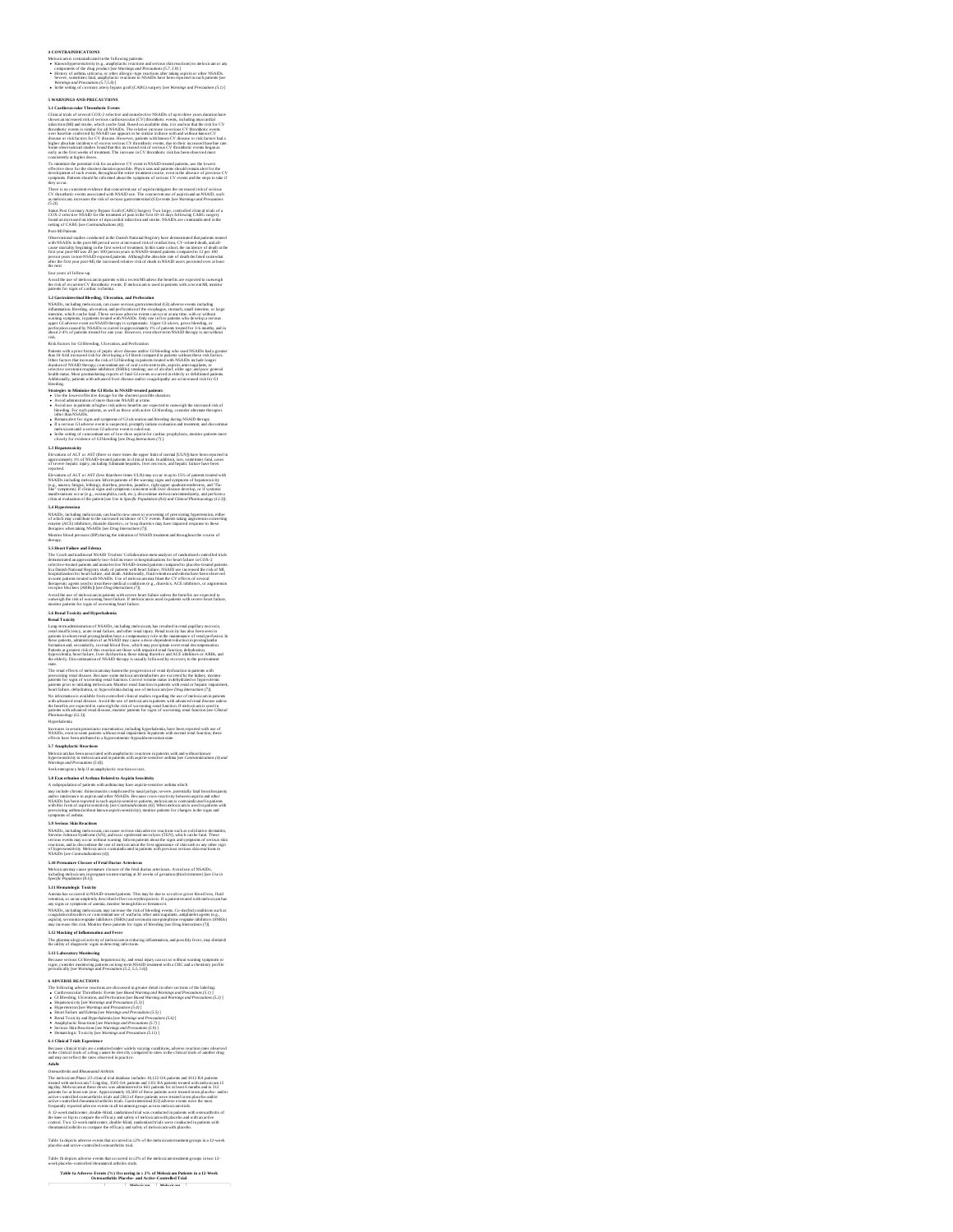**4 CONTRAINDICATIONS**<br>Absolution in the following partons.<br> **Absolution is considerable** to the following partons and serious Absolutions of an incident<br> **Absolution is a strained absolution of the serious and the serious** 

# **S WARNINGS AND PRECAUTIONS**<br> **SURFAINERS AND PRECAUTIONS**<br> **SURFAINERS AND PRECISION CONVENTION CONTINUES INTO A CONSULTANT CONTINUES IN A CONSULTANT CONTINUES IN A CONSULTANT CONTINUES IN A CONSULTANT CONTINUES IN A CO**

COX -2 subcieve NSADD as the summer of pairs in the first 10-14 sings fabrications and contact the summer of the summer of the summer of the summer of the state of the state of the state of the state of the state of the s

NNAID, including unboxicom, can cause series<br>a parameter can be considered in the case of the case of the case of<br> $\sim$  10 meters. We can be considered in the case of<br>the case of the case of the case of the case of the cas

Patients with a priori this<br>travel profit accelerate the form of patients of the state and so that the<br>state state in the state of the state of the state of the state of the<br>state of the state of the state of the state of health status. Most postmarketing reports of fatal GI events occurred in elderly or debilitated patients.

Strangelyn to Maniarko de GTRahla in NGAD a suas construires and a local construction of the strangelyn and the main state of the strangelyn and the strangelyn of the strangelyn of the strangelyn of the strangelyn of the

NSAINS, including melosixicam, can lead to mew onset or worsening of prevestioning hypermension, either state<br>of which may contribute to the increased incidence of CV events. Patients taking angionrasia converting<br>enzyme (

Sa Mont Falme and Edward . Under the technology matrix the technology matrix and the state of the state of the state of the state of the state of the state of the state of the state of the state of the state of the state

rend insufficiency, actor result failure, and chiner real inject, Recall total chicky and also been interesting<br>painters in whom read promaglatulities have a componentry role in the maintenance of resul perfection. In<br>fore

The result of these of melodicamappe havon the progression of read dyether density above that the state of the state of the state of the state of the state of the state of the state of the state of the state of the state

Increases in serum potassium concentration, including hyperkalemia, have been reported with use of<br>NSAIDs, even in some patients without renal impairment. In patients with normal renal function, these<br>effects have been att

5.7 Augustyster Raue formion and amply factic run estion in pairms with and value and and value of the method of the method of the state of the state of the state of the state of the state of the state of the state of the

## **5.9 Serious Skin Reactions**

NSAIDs, including melosizcam, can cause serious sáha adverse reactions sach as extoliative dermatinis,<br>Sarwas-Johnson Syndrome (SJS), and toxic epidermal necrolysis (TEN), which can be faul. These<br>serious events may occur of hypersensitivity. Meloxicam is contraindicated in patients with previous serious skin reactions to

S. IS Promainer, Chevare of Fred Ducture Arteristics, and the transformation and profits and NSARDs.<br>
Substituting the control of the first detection of the state of the state of the state of NSARDs.<br>
Specific Proposition

**6** ADVERSE REACTIONS<br>
The Distribution are discussed in general detail include sections of the Labeling<br>  $\bullet$  CHE (Reducino, and Metodiation detail include the section of the CHE (Reducino CHE)<br> **CHE (Reducino CHE)**<br> **CH** 

**6.1 Clinical Trials Experience**

Because clinical trials are conducted under widely varying conditions, adverse reaction rates observed<br>in the clinical trials of a drug cannot be directly compared to rates in the clinical trials of another drug<br>and may no *Adults*<br>Osteoarthritis and Rheumatoid Arthritis

One of the film Rowsell of Architecture<br>
Constant Constant Constant Constant Constant Constant Constant Constant Constant Constant Constant Constant Constant Constant Constant Constant Constant Constant Constant Constant

Table 1a depicts adverse events that occurred in ≥2% of the meloxicam treatment groups in a 12-week placebo-and active-controlled osteoarthritis trial.

## Table 1b depicts adverse events that occurred in ≥2% of the meloxicam treatment groups in two 12- week placebo-controlled rheumatoid arthritis trials.

Table 1a Adverse Events (%) Occurring in ≥ 2% of Meloxicam Patients in a 12-Week<br>Osteoarthritis Placebo- and Active-Controlled Trial

**Meloxicam Meloxicam**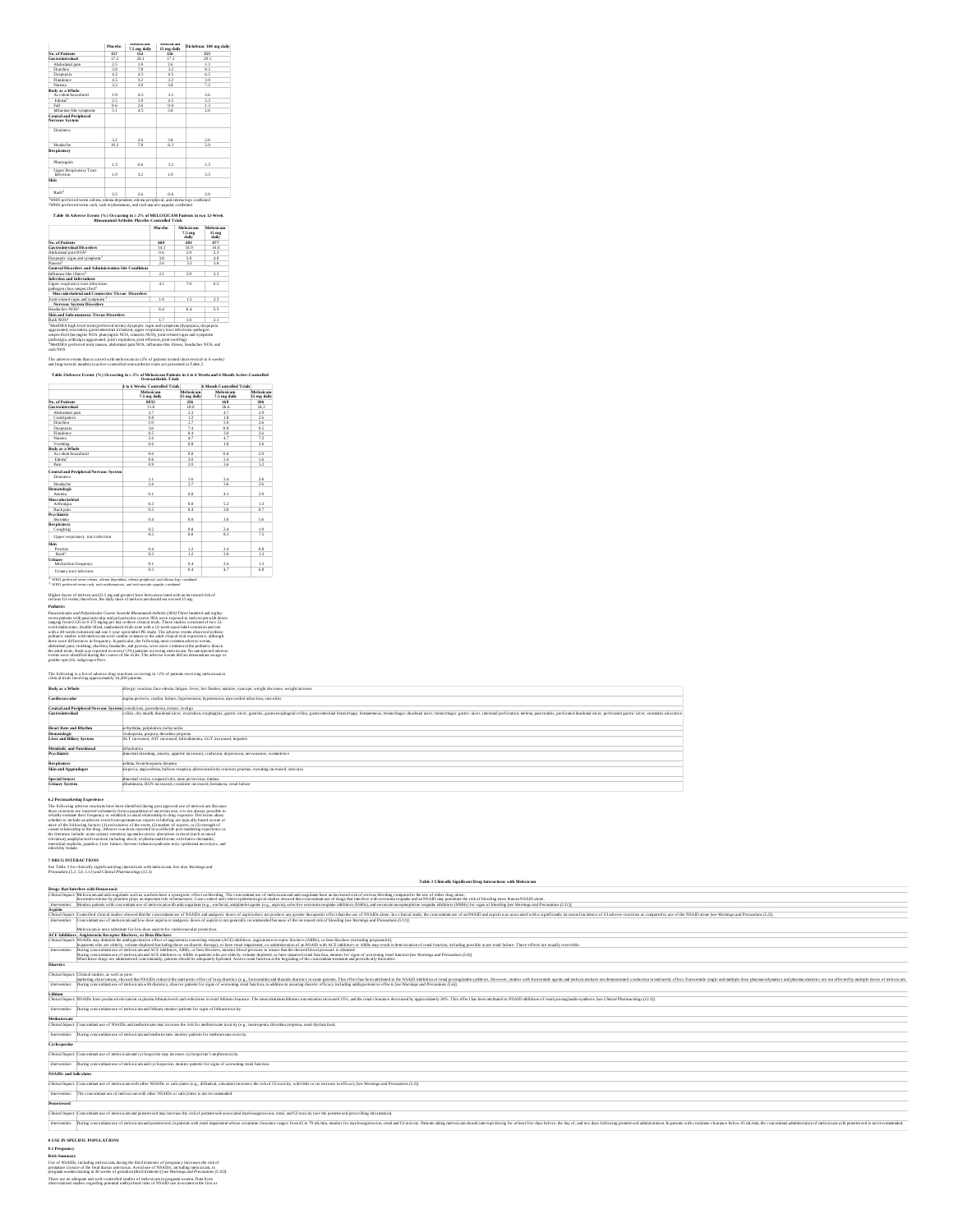|                                                            | Placebo         | <b>NUMBER</b><br>7.5 mg daily | <b>NUMBER OF</b><br>15 mg daily | Diclofenac 100 mg daily |
|------------------------------------------------------------|-----------------|-------------------------------|---------------------------------|-------------------------|
| No. of Patients                                            | 157             | 154                           | 156                             | 153                     |
| Castro intes tinal                                         | 17.2            | 20.1                          | 173                             | 281                     |
| Abdominal pain                                             | 2.5             | 19                            | 26                              | 13                      |
| Diarrhea                                                   | 3.8             | 78                            | 3.2                             | 97                      |
| Dyspensia                                                  | 4.5             | 4.5                           | 45                              | 65                      |
| Flatilence                                                 | 4.5             | 32                            | 32                              | 3.9                     |
| Nancoa                                                     | 32              | 39                            | 38                              | 72                      |
| <b>Body as a Whole</b><br>Accident household               | 1.9             | 4.5                           | 3.2                             | 2.6                     |
| Fdema <sup>1</sup>                                         | 75              | 19                            | 45                              | 33                      |
| <b>Fall</b>                                                | 0.6             | 2.6                           | 0.0                             | 13                      |
| Influenza-like symptoms                                    | ŝΤ              | 45                            | 58                              | 2.6                     |
| <b>Nervous System</b>                                      |                 |                               |                                 |                         |
| Dizziness                                                  |                 |                               |                                 |                         |
|                                                            | 32              | 2.6                           | 38                              | 2.0                     |
| Headache                                                   | 10 <sub>2</sub> | 78                            | 83                              | ξą                      |
|                                                            |                 |                               |                                 |                         |
| Pharynaids                                                 | 13              | 0.6                           | 3.2                             | 13                      |
| Respiratory<br><b>Upper Respiratory Tract</b><br>Infection | 1.9             | 3.2                           | 1.9                             | 33                      |
| Skin                                                       |                 |                               |                                 |                         |

Table 1b Adverse Events (%) Occurring in ≥ 2% of MELOXICAM Patients in two 12-Week<br>Rheumatoid Arthritis Placebo-Controlled Trials

|                                                                                | Placebo | Melayicam<br>7.5 <sub>mg</sub><br>daily | Melayicam<br>15 <sub>me</sub><br>daily |
|--------------------------------------------------------------------------------|---------|-----------------------------------------|----------------------------------------|
| No. of Patients                                                                | 469     | 481                                     | 477                                    |
| <b>Gastro intestinal Disorders</b>                                             | 14.1    | 189                                     | 16.8                                   |
| Abdominal pain NOS <sup>2</sup>                                                | 0.6     | 29                                      | 73                                     |
| Dyspeptic signs and symptoms <sup>1</sup>                                      | 38      | 58                                      | 40                                     |
| Nance a <sup>2</sup>                                                           | 26      | 3.3                                     | 3.8                                    |
| <b>General Disorders and Administration Site Conditions</b>                    |         |                                         |                                        |
| Influenza, like illness2                                                       | 21      | 29                                      | 2.3                                    |
| Infection and Infestations                                                     |         |                                         |                                        |
| Upper respiratory tract infections-<br>bathogen class unspecified <sup>1</sup> | 4.1     | 70                                      | 65                                     |
| Musculoskeletal and Connective Tissue Disorders                                |         |                                         |                                        |
| Joint related signs and symptoms                                               | 19      | 15                                      | 2.3                                    |
| <b>Nervous System Disorders</b>                                                |         |                                         |                                        |
| Headaches NOS2                                                                 | 64      | 64                                      | 55                                     |
| Skin and Subcutaneous Tissue Disorders                                         |         |                                         |                                        |
| Rash NOS2                                                                      | 17      | 10                                      | 2.1                                    |

<sup>1</sup>Medil PAA high lavesl teorus (preferred turum); dyspepis: cágus and symponus (dyspepisa, dyspepisa)<br>aggravand, eructation, gaunosimosiani irritation), upper respiratory tract infections-pathogen<br>umprecified (larymgitis 2Mont

The adverse events that occurred with meloxicam in ≥2% of patients treated short-term (4 to 6 weeks)<br>and long-term (6 months) in active-controlled osteoarthritis trials are presented in Table 2

Table 2Adverse Events (%) Occurring in ≥ 2% of Meloxicam Patients in 4 to 6 Weeksand 6 Month Active-Controlled<br>Osteoarthritis Trials **4 to 6 Weeks Controlled Trials 6 Month Controlled Trials Meloxicam 7.5 1.5 Menth Controlled Trials**<br> **1.5 mg daily 1.5 mg daily 1.5 mg daily**<br> **1.5 mg daily**<br> **1.5 mg daily**<br> **1.5 1.5 1.5 1.5 1.5 1.5 1.5 1.5 1.5 1.5 1.5 1.5 1.5 1.5 <sup>15</sup> mg daily Meloxicam 7.5 mg daily Meloxicam No. of Patients 8955 256 169 306 15 mg daily Gastrointestinal 11.8 11.8 18.0 26.6 24.2** 1 Abdominal pain **2.7** 2.3 4.7 2.9 Constipation 1.2 1.8 2.6 Diarrhea 1.9 2.7 5.9 2.6 Dyspepsia 3.8 7.4 8.9 9.5 Flatulence 2.6 0.5 0.4 3.0 2.6 Nausea 2.4 4.7 4.7 7.2 1 Vomiting 0.6 0.8 1.8 2.6 **Body as a Whole** Accident household 1 0.0 0.0 0.6 2.9 Edema<sup>\*</sup> 1.6 **0.6 2.0 2.4 1.6** Pain **0.9 2.0 3.6 5.2 Central and Peripheral Nervous System** Dizziness 1.1 1.6 2.4 2.6 Headache 2.4 2.7 3.6 2.6 **Hematologic** Anemia 0.1 0.0 4.1 2.9 **Mus culoskeletal** \*

| Arthraleia                                                                                                                                                               | 0.5 | 0.0 | 53  | 1.3 |
|--------------------------------------------------------------------------------------------------------------------------------------------------------------------------|-----|-----|-----|-----|
| Back pain                                                                                                                                                                | 0.5 | 0.4 | 3.0 | 0.7 |
| Psychiatric                                                                                                                                                              |     |     |     |     |
| <b>Incomeia</b>                                                                                                                                                          | 0.4 | 0.0 | 3.6 | 1.6 |
| Respiratory                                                                                                                                                              |     |     |     |     |
| Coughing                                                                                                                                                                 | 0.2 | 0.8 | 2.4 | 1.0 |
| Upper respiratory tract infection                                                                                                                                        | 0.2 | 0.0 | 8.3 | 7.5 |
| Skin                                                                                                                                                                     |     |     |     |     |
| Proritus                                                                                                                                                                 | 0.4 | 1.2 | 2.4 | 0.0 |
| Rach <sup>+</sup>                                                                                                                                                        | 0.3 | 1.2 | 3.0 | 1.3 |
| Urinary                                                                                                                                                                  |     |     |     |     |
| Micturition frequency                                                                                                                                                    | 0.1 | 0.4 | 24  | 1.3 |
| Urinary tract infection                                                                                                                                                  | 0.3 | 0.4 | 4.7 | 6.9 |
| * WHO preferred terms edema, edema dependent, edema peripheral, and edema legs combined<br>WHO preferred terms rash, rash erythematous, and rash maculo-panular combined |     |     |     |     |

Higher doses of meloxicam (22.5 mg and greater) have been associated with an increased risk of<br>serious GI events; therefore, the daily dose of meloxicam should not exceed 15 mg.<br>**Pediatrics** Possibiration and Polypottede Conce Journal Behavioral definite fields (1) The temperature and interest of the state of the state of the state of the state of the state of the state of the state of the state of the state

The following is a list of adverse drug reactions occurring in <2% of patients receiving meloxicam in clinical trials involving approximately 16,200 patients.

| Body as a Whole                       | allergic reaction, face edema, fatigue, fever, hot flushes, malaise, syncope, weight decrease, weight increase                                                                                                                 |
|---------------------------------------|--------------------------------------------------------------------------------------------------------------------------------------------------------------------------------------------------------------------------------|
| Cardio vas cular                      | angina pectoris, cardiac failure, hypertension, hypotension, myocardial infarction, vasculitis                                                                                                                                 |
|                                       | Central and Perioheral Nervous Systemiconvulsions, paresthesia, tremor, vertico                                                                                                                                                |
| Gas tro intes tinal                   | colids, dry mouth, duodenal ulcer, enctation, esophagits, gastriculcer, gastricis, gastroesophageal reflux, gastrointestinal hemorrhage, hematemesis, hemorrhagic duodenal ulcer, hemorrhagic gastric ulcer, intestinal perfor |
| <b>Heart Rate and Rhythm</b>          | arrhythmia, palpitation, tachycardia                                                                                                                                                                                           |
| Hematologic                           | leukoperia, purpura, thrombocytoperia                                                                                                                                                                                          |
| <b>Liver and Biliary System</b>       | ALT increased. AST increased, bilirubinemia, GGT increased, henatifis                                                                                                                                                          |
| Metabolic and Nutritional             | dehydration                                                                                                                                                                                                                    |
| <b>Psychiatric</b>                    | abnormal dreaming, anxiety, appetite increased, confusion, depression, nervousness, somnolence                                                                                                                                 |
| <b>Respiratory</b>                    | asthma, bronchospasm, dyspnea                                                                                                                                                                                                  |
| Skin and Appendages                   | alopecia, angioedema, bullous eruption, photosensitivity reaction, pruritus, sweating increased, urticaria                                                                                                                     |
| <b>Special Senses</b>                 | abnormal vision, conjunctivitis, taste perversion, timitus                                                                                                                                                                     |
| <b>Urinary System</b>                 | albuminuria, BUN increased, creatinine increased, hematuria, renal failure                                                                                                                                                     |
| A. B. Barramento Array Francois Corp. |                                                                                                                                                                                                                                |

G. Put mandedly Experience to the breathful field their<br>apoir aposed use of metastical Research and the state of the state of<br>the control of the state of the state of the state of the state of<br>the state of the state of th

7 DRUG INTERACTIONS<br>See Table 3 for clinically significant drug interactions with meloxican. See also Warnings and<br>Precontions (5.2, 5.6, 5.11) and Clinical Pharmacology (12.3).

|                               | Table 3 Clinically Significant Drug Interactions with Meloxicam                                                                                                                                                                                                                                                                                                                                                                                                  |
|-------------------------------|------------------------------------------------------------------------------------------------------------------------------------------------------------------------------------------------------------------------------------------------------------------------------------------------------------------------------------------------------------------------------------------------------------------------------------------------------------------|
|                               | Drugs that Interfere with Hemostasis                                                                                                                                                                                                                                                                                                                                                                                                                             |
|                               | Clinical Impace Meloxicam and anicoagulans such as warfarin have a symergistic effect on bleeding. The concomitant use of meloxicam and anticoagulans have an increased risk of serious bleeding compared to the use of either<br>erotonin release by planelets plays an important role inhemostasis. Case-control and cohort epidemiological studies showed that concomitant use of drugs that interfere with serotonin reuptake and an NSAID may powntiate the |
| Istervention:                 | Monitor nations with concoming use of meloxicam with anicoarulans (e.g., warfarin) aninhateler agents (e.g., astirin), selective serononin reuntake inhibitors (SSRIs), and serononin norretinepting returnals inhibitors (SNR                                                                                                                                                                                                                                   |
| Asperin                       |                                                                                                                                                                                                                                                                                                                                                                                                                                                                  |
| Clinical Impact:              | Controlled clinical studies showed that the concomitant use of NSAIDs and analgesic doses of aspirindoes not teroduce any greater therappenic effect than the use of NSAIDs alone. In a clinical study, the concomitant use of                                                                                                                                                                                                                                   |
| Istervention:                 | Concomitant use of meloxicam and low dose aspirin or analgesic doses of aspirin is not generally recommended because of the increased risk of bleeding Isee Warnings and Precausions (S.11)]                                                                                                                                                                                                                                                                     |
|                               |                                                                                                                                                                                                                                                                                                                                                                                                                                                                  |
|                               | Meloxicam is not a substitute for low dose aspirin for cardiovascular protection.                                                                                                                                                                                                                                                                                                                                                                                |
|                               | ACE Inhibitors, Anziotensin Receptor Blockers, or Beta-Blockers                                                                                                                                                                                                                                                                                                                                                                                                  |
|                               | Clinical Impace NSAIDs may diminish the anthyperpensive effect of angionensin converting enzyme (ACE) inhibitors, angionensin receptor blockers (ARBs), or beta-blockers (including proprapolo]).<br>in nations who are elderly, volume-depleted fincluding those on diuretic therapy's or have renal impairment, co-administration of an NSAID with ACE inhibitors or ARBs may result in deterioration of renal function, includin                              |
| Intervention:                 | During concoming use of meloxicam and ACE inhibitors. ARBs, or ben-blockers, monitor blood pressure to ensure that the desired blood pressure is obtained.                                                                                                                                                                                                                                                                                                       |
|                               | During concoming use of meloxicam and ACE inhibitors or ARBs in patients who are elderly, volume-depleted, or have innoired renal function, monitor for signs of worsening renal function (see Wormings and Precautions (5.6)]<br>When these drugs are administered concomitantly, nations should be adequately hydrated. Assess renal function at the beginning of the concomitant treatment and periodically thereafter,                                       |
| <b>Diaretics</b>              |                                                                                                                                                                                                                                                                                                                                                                                                                                                                  |
|                               |                                                                                                                                                                                                                                                                                                                                                                                                                                                                  |
| Clinical Impact:              | Clinical studies, as well as post-                                                                                                                                                                                                                                                                                                                                                                                                                               |
|                               | marketing observations, showed that NSAIDs reduced the natrigeric effect of loop digretics (e.g., furosemide) and thiazide digretics in some patients. This effect has been attributed to the NSAID inhibition of renal rerost                                                                                                                                                                                                                                   |
| Istervention:                 | During concoming use of meloxicam with diuretics, observe patients for signs of worsening renal function, in addition to assuring diuretic efficacy including antilypertensive effects (see Warnings and Precautions (5.6)].                                                                                                                                                                                                                                     |
| Lithium                       |                                                                                                                                                                                                                                                                                                                                                                                                                                                                  |
| Clinical Impact:              | NSAIDs have produced elevations in plasm lithium levels and reductions in renal lithium clearance. The mean minimum lithium concentration increased 15%, and the renal clearance decreased by approximately 20%. This effect h                                                                                                                                                                                                                                   |
| Intervention:                 | During concomitant use of meloxicam and lithium, monitor patients for signs of lithium toxicity.                                                                                                                                                                                                                                                                                                                                                                 |
| Metho trexate                 |                                                                                                                                                                                                                                                                                                                                                                                                                                                                  |
|                               | Clinical Impact: Concomitant use of NSAIDs and methotrexate may increase the risk for methotrexate toxicity (e.g., neutronenia, thrombocytotenia, renal dysfunction).                                                                                                                                                                                                                                                                                            |
| Intervention:                 | During concomitant use of meloxicam and methotrexate, monitor nations for methotrexate toxicity.                                                                                                                                                                                                                                                                                                                                                                 |
| Cyclosporine                  |                                                                                                                                                                                                                                                                                                                                                                                                                                                                  |
| Clinical Impact:              | Concomitant use of meloxicam and cyclosporine may increase cyclosporine's nephrotoxicity.                                                                                                                                                                                                                                                                                                                                                                        |
| Intervention:                 | During concomitant use of meloxicam and cyclosporing, monitor patients for signs of worsening renal function.                                                                                                                                                                                                                                                                                                                                                    |
| <b>NSAIDs and Salicylates</b> |                                                                                                                                                                                                                                                                                                                                                                                                                                                                  |
|                               | Clinical Impact: Concomitant use of meloxicam with other NSAIDs or salicylates (e.g., diflurisal, salsalate) increases the risk of GI toxicity, with little or no increase in efficacy [see Warnings and Precautions (5.2)].                                                                                                                                                                                                                                     |
| Intervention:                 | The concomitant use of meloxicam with other NSAIDs or salicylates is not recommended.                                                                                                                                                                                                                                                                                                                                                                            |
| Pemetrexed                    |                                                                                                                                                                                                                                                                                                                                                                                                                                                                  |
| Clinical Impact:              | Concomitant use of meloxicam and pemetrexed may increase the risk of pemetrexed-associated myelosuppression, renal, and GI toxicity (see the pemetrexed prescribing information).                                                                                                                                                                                                                                                                                |
| Intervention:                 | During concomtage use of meloxicam and permeyersed, in natiens with renal impairment whose creating clearance ranges from 45 to 79 mL/min, montor for melosumeession, renal and GI toxicity. Patients taking meloxicam should                                                                                                                                                                                                                                    |
|                               | <b>8 USE IN SPECIFIC POPULATIONS</b>                                                                                                                                                                                                                                                                                                                                                                                                                             |

**8.1 Pregnancy**

**Risk Summary**

Use of NSAIDs, including meloxican, during the third trimester of pregnancy irrevases the risk of 1<br>premature closure of the fetal ductus atterious. Avoid use of NSAIDs, including meloxicam, in<br>pregnant women starting at 3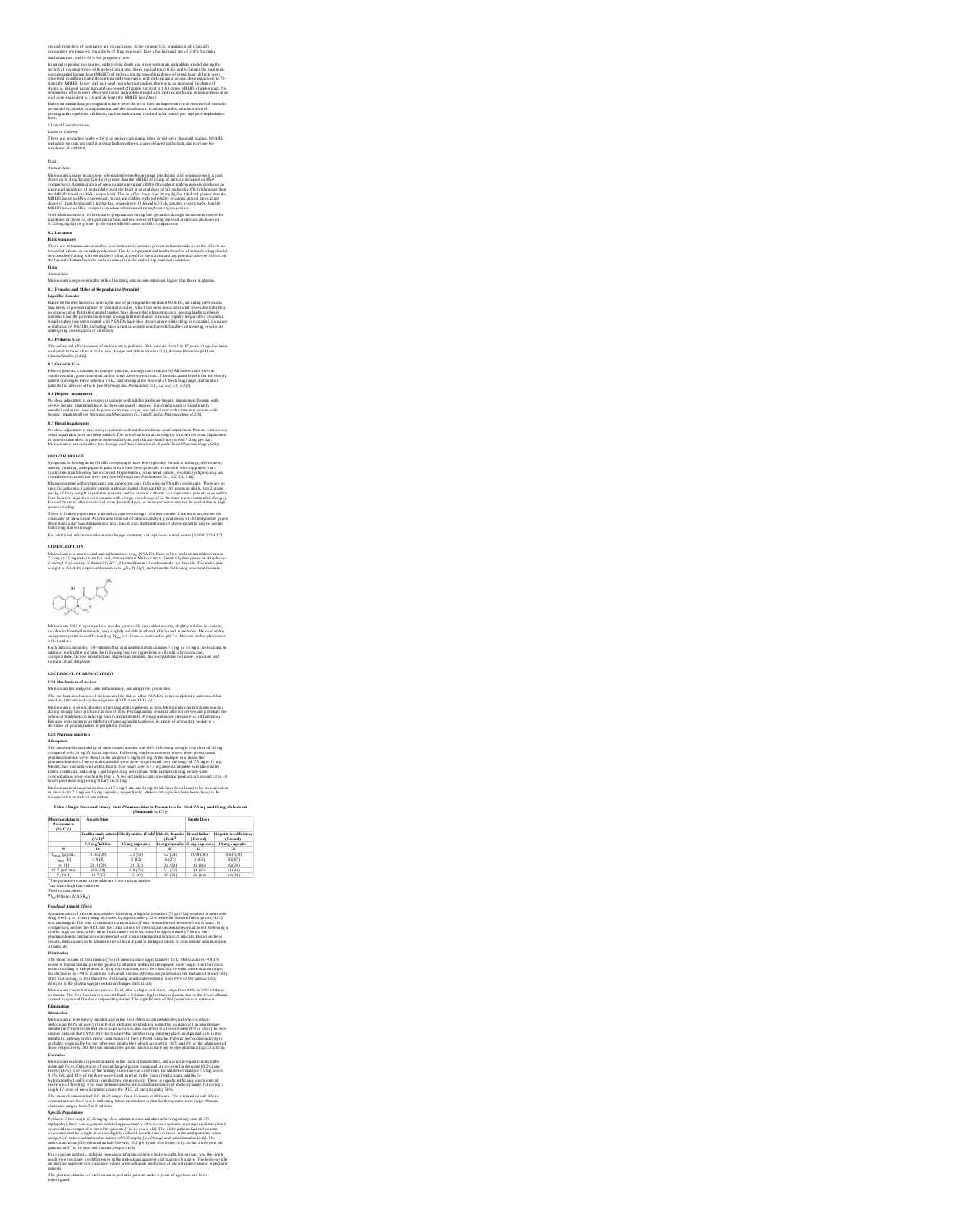## second trimesters of pregnancy are inconclusive. In the general U.S. population, all clinically recognized pregnancies, regardless of drug exposure, have a background rate of 2-4% for major second stimes<br>ness of pregnancies, are inconclusive. In the general U.S. population, all clinically recognized pregnancies, complete<br>malformations, and 15-20% for pregnancy loss.

In armino representation and MRIII) at distribution the sole are the state of the state of the state of the state of the state of the state of the state of the state of the state of the state of the state of the state of t

Does not the star in the star in the advantagement in proposition for the star in the star in the star in the star in the star in the star in the star in the star in the star in the star in the star in the star in the sta

## evaluated in three clinical trials [see *Dosage and Administration (2.3), Adverse Reactions (6.1)* and *Clinical Studies (14.2)].*

**IS Correlate Use to compare to younger poles m**, are at grown risk for NAAD associated serious<br>Tabely notices, compared to younger poles m, are at grown risk for NAAD associated serious<br>points for solven of the comparati

if OVERDONGE.<br>
Simple and NASID coverages have been typically likened to the<br>age of the system of the system of the system of the system of the<br>system of the system of the system of the system of the system of the<br>system

## For additional information about overdosage treatment, call a poison control center (1-800-222-1222).

**11 DESCRIPTION**

Meloxicam is a nonsevoidal anti-inflummatory drug (NSAID). Each yellow meloxicam tublet contain<br>7.5 mg or 15 mg meloxicam for oral administration, Meloxicam is chemically designated as 4-hydroxy-<br>2-menhyl-N-(5-methyl-2-thi



Melocicam, USP is a pair system proceder, practically issociated in very, rightly solidale in account.<br>Analogue and the system of the system of the system of the system of the system of the system of the system of<br>the syst <sub>lapp</sub> = 0.

## IT CLIMCAL PRIAMINACOLOGY<br>
IT CLIMCAL PRIAMINACOLOGY<br>
AND INSURANCE IN A CONSUMER TRANSPORT INTO A CONSUMER PROPERTY INTO A CONSUMER PRIME IN CONSUMER TRANSPORTED IN<br>
A BOOK CONSULTANT IN A CONSUMER TRANSPORT INTO A CONSU

Also<br>supplies the maximization of methods to consider the staff is following a single note detected.<br>The absolute boundaries of the staff is a single of the staff is a single out of the staff is a single<br>planetaxism of th

Table 45ingle Dose and Steady-State Pharmacokinetic Parameters for Oral 7.5 mg and 15 mg Meloxicam<br>(Mean and % CV)<sup>1</sup> **Pharmacokinetic**<br>**Pharmacokinetic Steady State Single Dos e**

| Parameters<br>(% CV) |                             |                                                                           | --------                      |                                  |                                          |
|----------------------|-----------------------------|---------------------------------------------------------------------------|-------------------------------|----------------------------------|------------------------------------------|
|                      | (Fed) <sup>2</sup>          | <b>Healthy male adults Elderly males (Fed)<sup>2</sup>Elderly females</b> | $(Fed)^2$                     | <b>Renal failure</b><br>(Fasted) | <b>Hepatic insufficiency</b><br>(Fasted) |
|                      | 7.5 mg <sup>3</sup> tablets | 15 mg cansules                                                            | 15 mg cansules 15 mg cansules |                                  | 15 mg capsules                           |
| N                    | 18                          |                                                                           |                               | 12                               | 12                                       |
| Cour (ug/mL)         | 1.05 (20)                   | 2.3 (59)                                                                  | 3.2(24)                       | 0.59 (36)                        | 0.84(29)                                 |
| Imax [h]             | 4.9(8)                      | 5 (12)                                                                    | 6 (27)                        | 4 (65)                           | 10 (87)                                  |
| to fhi               | 20.1 (29)                   | 21 (34)                                                                   | 24 (34)                       | 18 (46)                          | 16(29)                                   |
| CL/I (mL/min)        | 8.8 (29)                    | 9.9 (76)                                                                  | 5.1 (22)                      | 19(43)                           | 11(44)                                   |
| V. N'ILI             | 14.7(32)                    | 15(42)                                                                    | 10 (30)                       | 26(44)                           | 14(29)                                   |

<sup>1</sup>The parameter values in the table are from various studies and the studies of the mediations of the mediations of the mediations of the studies of the mediations of the mediations of the mediations of the studies  $4\,\mathrm{$ 

z/I=Dose(AUC+Ke1)

<sup>4</sup>V<sub>2</sub> (**V**) month (*V*) **C**(*V*) **C**<sub>(*V*</sub>) (*V*) the state of the state of the state of the state of the state of the state of the state of the state of the state of the state of the state of the state of the state of

tics of meloxicam in pediatric patients under 2 years of age have not been **The pharmac**<br>investigated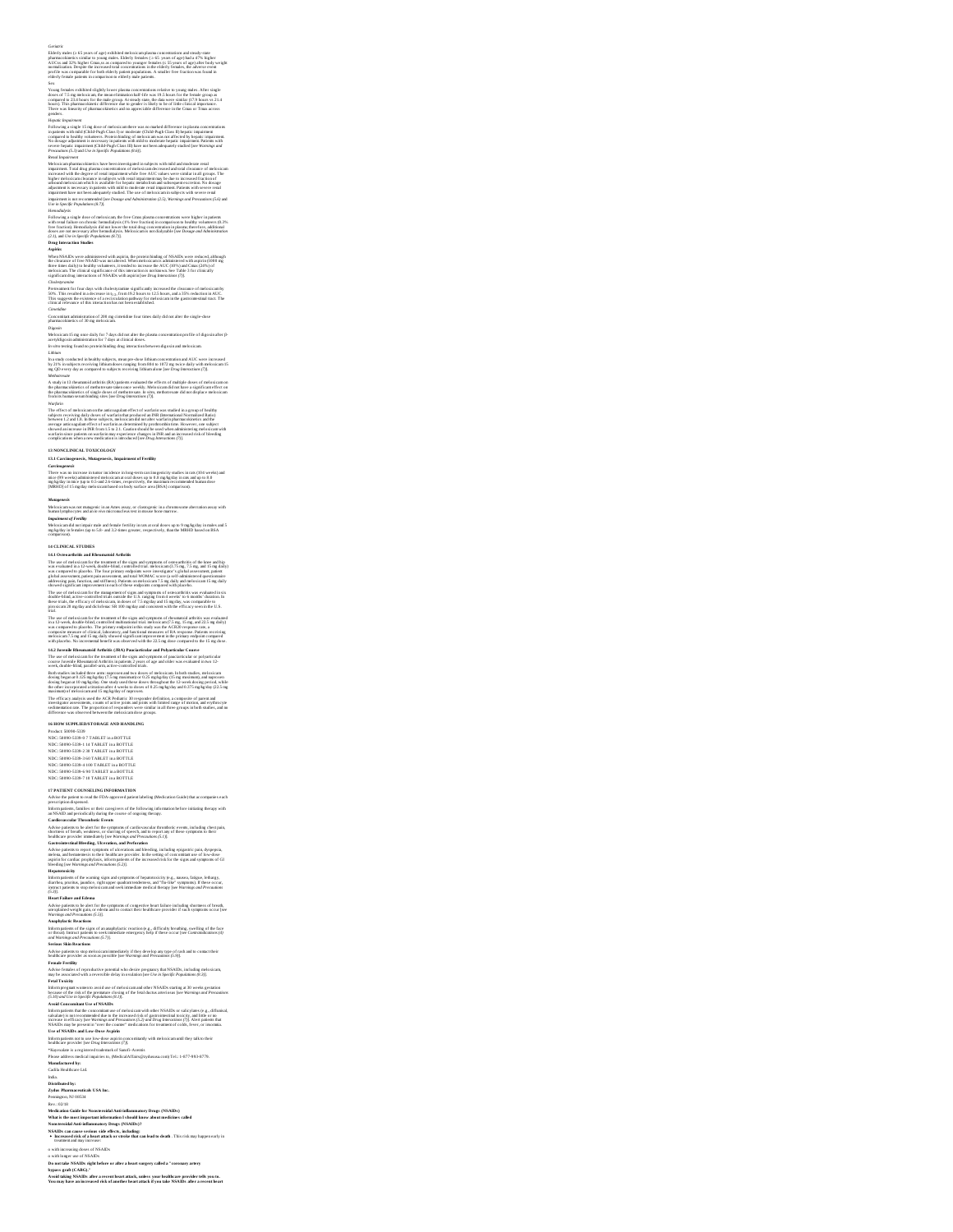## Ceréaric<br>Ceréaric (nation (2.65 years of ago) exhibited melocicam plasma concentrations and steady-state<br>pharmacolástics cistatics to young multer. Eliabetly fremise (c.56 years of ago) had a 47% sighter<br>AUCss and 37% high

Section and the substituted in the local particular consent metallic in the<br>strong function and the state of the state of the state of the state<br>component in Nature (1) and the state grows A transfer to the flat wave simi

## Rould hypothesis and control to be been investigated in subjects with ruled and understor real<br>Molecules applarmation for the control of the state of the state of the state of the state<br>in the state of the state of the st

Henodolojiski piste domest ratnickova, eko Paro Carra demonstratorum versi koloni piste in geologija († 1897)<br>19 december - Andre Maria († 1898)<br>18 december - Andre Maria († 1898)<br>18 december - Andre Maria († 1898)<br>18 dece

## Pretreament for four days with cholestyramine significantly increased the clearance of meloxicamby<br>1976. This resulted in a decrease in t<sub>he c</sub> from 19.2 hours to 12.5 hours, and a 35% reduction in AUC.<br>This suggests the e

Cimetidine<br>Concomitant administration of 200 mg cimetidine four times daily did not alter the single-dose<br>pharmacokinetics of 30 mg meloxicam.<br>Digoxin

Meloxicam 15 mg once daily for 7 days did not alter the plasma concentration profile of digoxin after β-<br>acetyldigoxin administration for 7 days at clinical doses. *In vitro* testing found no protein binding drug interaction between digoxin and meloxicam.

L'abban y conducted la basile conductus memi product librari estre armée and AUC vous injecteurs.<br>1951 : De la sadigne accelente traitémente a rangue from 1804 to 1972 au factor daily victit en location 15<br>1860 : l'a cadag

Weigerin<br>The offices of melocidism on the anticoagulant effect of warfarin was statled in a group of heading<br>adjectment of the control of the statles of the control of the figure<br>and the control of the control of the contr

## **13 NONCLINICAL TOXICOLOGY**

13.1 Carchingenesis<br>Carcinagenesis<br>Carcinagenesis - Annual proposition in language carcinagenesis product in rate (164 veels) and<br>mice (95 veels) administred melocicam at ona dones up to 0.8 mpAy they in rate and up to 8.0

*Mutagenesis* Meloxicam wasnot mutagenic in an Ames assay, or clastogenic in a chromosome aberration assay with human lymphocytes and an *in vivo* micronucleus test in mouse bone marrow.

*Impairment of Fern*ility<br>Meloxicam did not impair male and female fernility in rats at oral doses up to 9 mg/kg/day in males and 5<br>mg/kg/day in females (up to 5.8- and 3.2-simes greator, respectively, than the MRHID based

**14 CLANCEAL STUDIES**<br>**14 CLANCEAL STUDIES Security and the state system of consuming of the last state of the last<br>11 Claude According to the state state of the sign and systems of consumption of the last and<br>10 Claude A** 

## The use of melocicam for the management of signs and symptoms of osnoarthrists was evaluated in six<br>double-blind, active-connotlied wials outside the U.S. ranging from 4 weeks' to 6 months' duration. In<br>these trials, the e gives the main of the state of the state of the state of the state of the difference series and the state of the state of the state of the state of the state of the state of the state of the state of the state of the stat

is HOW SUPPLEDISTORAGE AND HANDLING<br>Product 50090-5339<br>NDC: 50090-5339-0 71 ATABLET in a BOTTLE<br>NDC: 50090-5339-0 14 ATABLET in a BOTTLE<br>NDC: 50090-5339-2 30 TABLET in a BOTTLE<br>NDC: 50090-5339-4 100 TABLET in a BOTTLE<br>NDC

IF PATTENT COUNSEL DAS PRODUCATION (1990) and the content of the state of the properties see the space of the FDA-1990-DAN TOWER (2001) and accompanies such a space of the FDA-1990-DAN properties and the space of the foll

Informations the signs of an amply<br>later many control of the space of the state of the state of the state<br>and Worship and Proceeding (57), must also compared to the factor burst that ad to control the<br>distribution with Re

Here my equation to some the control of the spin density and education that the spacing and Diversion (2.18) and  $\mathbb{C}^2$  and the spin density and  $\mathbb{C}^2$  and  $\mathbb{C}^2$  and  $\mathbb{C}^2$  and  $\mathbb{C}^2$  and  $\mathbb{C}^2$  a

**Distributed by: Zydus Pharmaceuticals USA Inc.**

Penington, NJ 08534<br>Rev.: 02.18<br>Medication Guide for Nonsteroidal Anti-inflammatory Drugs (NSAIDs)<br>What is the most important information II should know about medicines called<br>Nonsteroidal Anti-inflammatory Drugs (NSAIDs)?

NSAIDs can cause serious side effects, including:<br>• Increased risk of a heart attack or stroke that can lead to death . This risk may happen early in<br>• teatment and may increase:

o with increasing doses of NSAIDs<br>Do not take NSAIDs right hefore or after a heart surgery called a "coronary artery<br>Do not take NSAIDs right hefore or after a heart surgery called a "coronary artery<br>bypass graft (CABG)."

## urpows grous (structur).<br>Avoid taking NSAIDs after a recent heart attack, unless your healthcare provider tells you to.<br>You may have an increased risk of another heart attack if you take NSAIDs after a recent heart